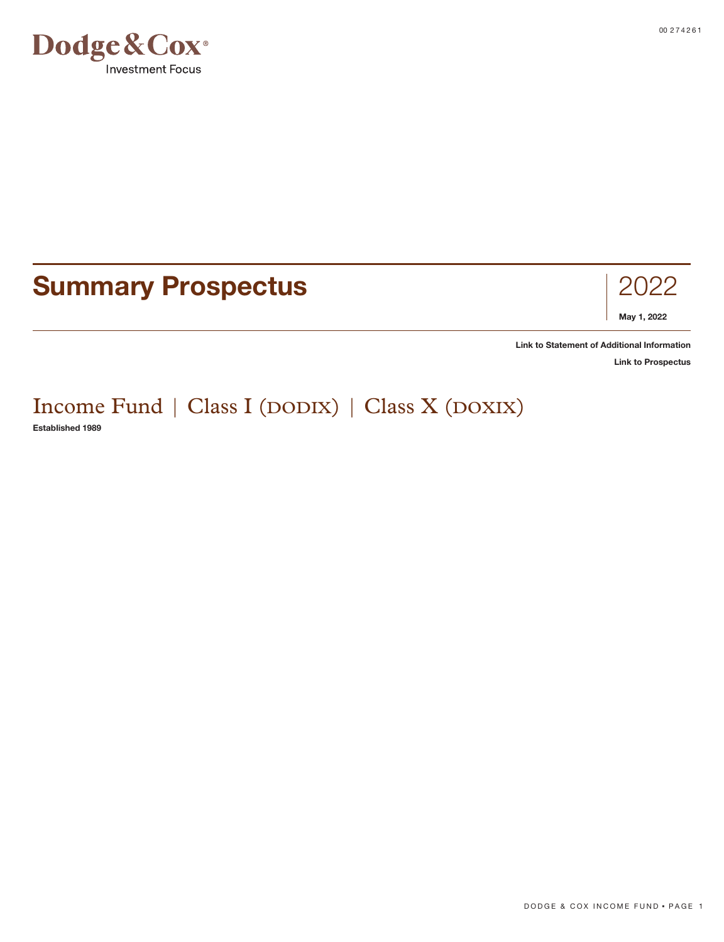

## **Summary Prospectus** 2022



**[Link to Statement of Additional Information](https://www.dodgeandcox.com/content/dam/dc/us/en/pdf/disclosures/dc_statement_of_additional_information.pdf)**

**[Link to Prospectus](https://www.dodgeandcox.com/content/dam/dc/us/en/pdf/prospectuses/dc_statutory_prospectus.pdf)**

# Income Fund | Class I (DODIX) | Class X (DOXIX)

**Established 1989**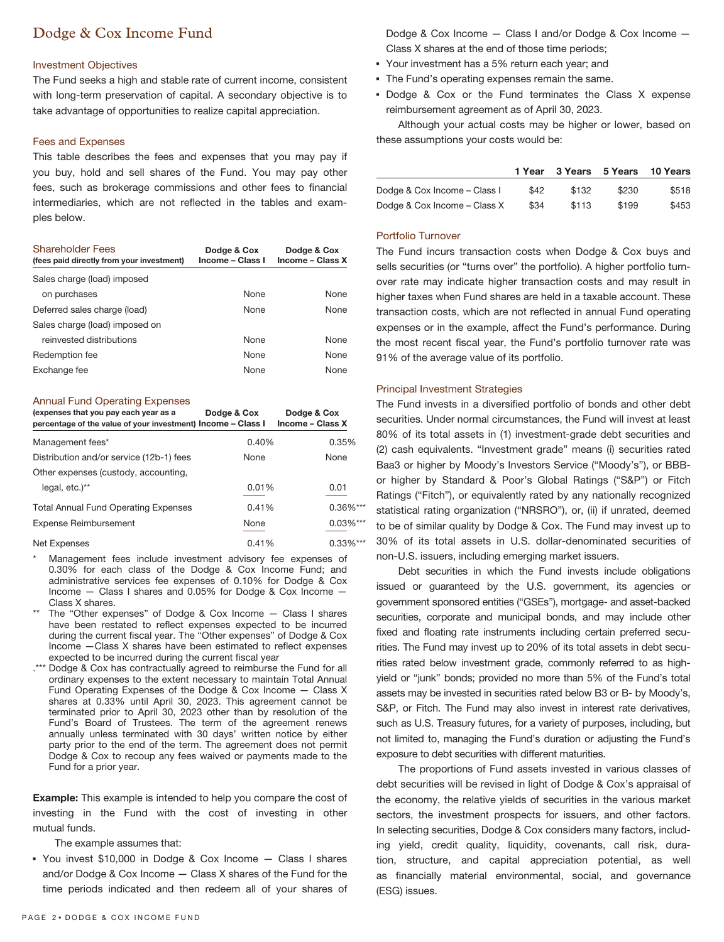## Dodge & Cox Income Fund

#### Investment Objectives

The Fund seeks a high and stable rate of current income, consistent with long-term preservation of capital. A secondary objective is to take advantage of opportunities to realize capital appreciation.

#### Fees and Expenses

This table describes the fees and expenses that you may pay if you buy, hold and sell shares of the Fund. You may pay other fees, such as brokerage commissions and other fees to financial intermediaries, which are not reflected in the tables and examples below.

| <b>Shareholder Fees</b><br>(fees paid directly from your investment) | Dodge & Cox<br>Income - Class I | Dodge & Cox<br>Income - Class X |
|----------------------------------------------------------------------|---------------------------------|---------------------------------|
| Sales charge (load) imposed                                          |                                 |                                 |
| on purchases                                                         | <b>None</b>                     | <b>None</b>                     |
| Deferred sales charge (load)                                         | <b>None</b>                     | <b>None</b>                     |
| Sales charge (load) imposed on                                       |                                 |                                 |
| reinvested distributions                                             | <b>None</b>                     | <b>None</b>                     |
| Redemption fee                                                       | <b>None</b>                     | <b>None</b>                     |
| Exchange fee                                                         | <b>None</b>                     | <b>None</b>                     |

#### Annual Fund Operating Expenses

| (expenses that you pay each year as a<br>percentage of the value of your investment) Income - Class I | Dodge & Cox | Dodge & Cox<br>Income - Class X |
|-------------------------------------------------------------------------------------------------------|-------------|---------------------------------|
| Management fees*                                                                                      | 0.40%       | 0.35%                           |
| Distribution and/or service (12b-1) fees                                                              | None        | None                            |
| Other expenses (custody, accounting,                                                                  |             |                                 |
| legal, etc.)**                                                                                        | 0.01%       | 0.01                            |
| <b>Total Annual Fund Operating Expenses</b>                                                           | 0.41%       | $0.36\%$ ***                    |
| <b>Expense Reimbursement</b>                                                                          | None        | $0.03\%***$                     |
| Net Expenses                                                                                          | 0.41%       | $0.33\%$ ***                    |

Management fees include investment advisory fee expenses of 0.30% for each class of the Dodge & Cox Income Fund; and administrative services fee expenses of 0.10% for Dodge & Cox Income — Class I shares and 0.05% for Dodge & Cox Income — Class X shares.

- The "Other expenses" of Dodge & Cox Income  $-$  Class I shares have been restated to reflect expenses expected to be incurred during the current fiscal year. The "Other expenses" of Dodge & Cox Income —Class X shares have been estimated to reflect expenses expected to be incurred during the current fiscal year
- .\*\*\* Dodge & Cox has contractually agreed to reimburse the Fund for all ordinary expenses to the extent necessary to maintain Total Annual Fund Operating Expenses of the Dodge & Cox Income — Class X shares at 0.33% until April 30, 2023. This agreement cannot be terminated prior to April 30, 2023 other than by resolution of the Fund's Board of Trustees. The term of the agreement renews annually unless terminated with 30 days' written notice by either party prior to the end of the term. The agreement does not permit Dodge & Cox to recoup any fees waived or payments made to the Fund for a prior year.

**Example:** This example is intended to help you compare the cost of investing in the Fund with the cost of investing in other mutual funds.

The example assumes that:

▪ You invest \$10,000 in Dodge & Cox Income — Class I shares and/or Dodge & Cox Income — Class X shares of the Fund for the time periods indicated and then redeem all of your shares of Dodge & Cox Income — Class I and/or Dodge & Cox Income — Class X shares at the end of those time periods;

- Your investment has a 5% return each year; and
- **The Fund's operating expenses remain the same.**
- Dodge & Cox or the Fund terminates the Class X expense reimbursement agreement as of April 30, 2023.

Although your actual costs may be higher or lower, based on these assumptions your costs would be:

|                              | 1 Year | 3 Years 5 Years |       | 10 Years |
|------------------------------|--------|-----------------|-------|----------|
| Dodge & Cox Income - Class I | \$42   | \$132           | \$230 | \$518    |
| Dodge & Cox Income - Class X | \$34   | \$113           | \$199 | \$453    |

#### Portfolio Turnover

The Fund incurs transaction costs when Dodge & Cox buys and sells securities (or "turns over" the portfolio). A higher portfolio turnover rate may indicate higher transaction costs and may result in higher taxes when Fund shares are held in a taxable account. These transaction costs, which are not reflected in annual Fund operating expenses or in the example, affect the Fund's performance. During the most recent fiscal year, the Fund's portfolio turnover rate was 91% of the average value of its portfolio.

#### Principal Investment Strategies

The Fund invests in a diversified portfolio of bonds and other debt securities. Under normal circumstances, the Fund will invest at least 80% of its total assets in (1) investment-grade debt securities and (2) cash equivalents. "Investment grade" means (i) securities rated Baa3 or higher by Moody's Investors Service ("Moody's"), or BBBor higher by Standard & Poor's Global Ratings ("S&P") or Fitch Ratings ("Fitch"), or equivalently rated by any nationally recognized statistical rating organization ("NRSRO"), or, (ii) if unrated, deemed to be of similar quality by Dodge & Cox. The Fund may invest up to 30% of its total assets in U.S. dollar-denominated securities of non-U.S. issuers, including emerging market issuers.

Debt securities in which the Fund invests include obligations issued or guaranteed by the U.S. government, its agencies or government sponsored entities ("GSEs"), mortgage- and asset-backed securities, corporate and municipal bonds, and may include other fixed and floating rate instruments including certain preferred securities. The Fund may invest up to 20% of its total assets in debt securities rated below investment grade, commonly referred to as highyield or "junk" bonds; provided no more than 5% of the Fund's total assets may be invested in securities rated below B3 or B- by Moody's, S&P, or Fitch. The Fund may also invest in interest rate derivatives, such as U.S. Treasury futures, for a variety of purposes, including, but not limited to, managing the Fund's duration or adjusting the Fund's exposure to debt securities with different maturities.

The proportions of Fund assets invested in various classes of debt securities will be revised in light of Dodge & Cox's appraisal of the economy, the relative yields of securities in the various market sectors, the investment prospects for issuers, and other factors. In selecting securities, Dodge & Cox considers many factors, including yield, credit quality, liquidity, covenants, call risk, duration, structure, and capital appreciation potential, as well as financially material environmental, social, and governance (ESG) issues.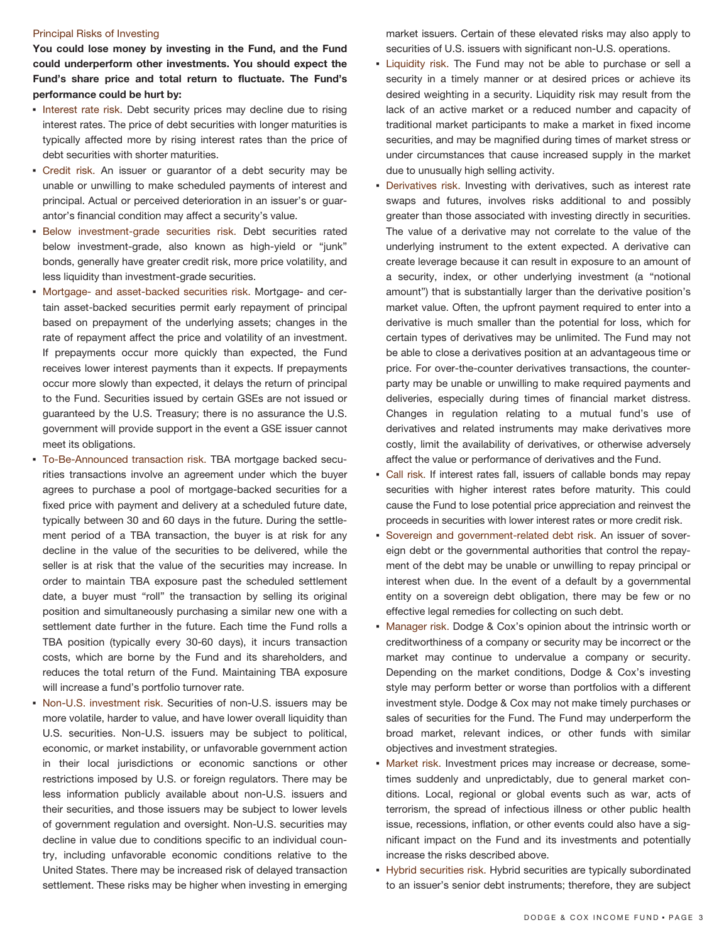#### Principal Risks of Investing

**You could lose money by investing in the Fund, and the Fund could underperform other investments. You should expect the Fund's share price and total return to fluctuate. The Fund's performance could be hurt by:**

- **.** Interest rate risk. Debt security prices may decline due to rising interest rates. The price of debt securities with longer maturities is typically affected more by rising interest rates than the price of debt securities with shorter maturities.
- Credit risk. An issuer or guarantor of a debt security may be unable or unwilling to make scheduled payments of interest and principal. Actual or perceived deterioration in an issuer's or guarantor's financial condition may affect a security's value.
- **Below investment-grade securities risk. Debt securities rated** below investment-grade, also known as high-yield or "junk" bonds, generally have greater credit risk, more price volatility, and less liquidity than investment-grade securities.
- Mortgage- and asset-backed securities risk. Mortgage- and certain asset-backed securities permit early repayment of principal based on prepayment of the underlying assets; changes in the rate of repayment affect the price and volatility of an investment. If prepayments occur more quickly than expected, the Fund receives lower interest payments than it expects. If prepayments occur more slowly than expected, it delays the return of principal to the Fund. Securities issued by certain GSEs are not issued or guaranteed by the U.S. Treasury; there is no assurance the U.S. government will provide support in the event a GSE issuer cannot meet its obligations.
- To-Be-Announced transaction risk. TBA mortgage backed securities transactions involve an agreement under which the buyer agrees to purchase a pool of mortgage-backed securities for a fixed price with payment and delivery at a scheduled future date, typically between 30 and 60 days in the future. During the settlement period of a TBA transaction, the buyer is at risk for any decline in the value of the securities to be delivered, while the seller is at risk that the value of the securities may increase. In order to maintain TBA exposure past the scheduled settlement date, a buyer must "roll" the transaction by selling its original position and simultaneously purchasing a similar new one with a settlement date further in the future. Each time the Fund rolls a TBA position (typically every 30-60 days), it incurs transaction costs, which are borne by the Fund and its shareholders, and reduces the total return of the Fund. Maintaining TBA exposure will increase a fund's portfolio turnover rate.
- Non-U.S. investment risk. Securities of non-U.S. issuers may be more volatile, harder to value, and have lower overall liquidity than U.S. securities. Non-U.S. issuers may be subject to political, economic, or market instability, or unfavorable government action in their local jurisdictions or economic sanctions or other restrictions imposed by U.S. or foreign regulators. There may be less information publicly available about non-U.S. issuers and their securities, and those issuers may be subject to lower levels of government regulation and oversight. Non-U.S. securities may decline in value due to conditions specific to an individual country, including unfavorable economic conditions relative to the United States. There may be increased risk of delayed transaction settlement. These risks may be higher when investing in emerging

market issuers. Certain of these elevated risks may also apply to securities of U.S. issuers with significant non-U.S. operations.

- **Example 1** Liquidity risk. The Fund may not be able to purchase or sell a security in a timely manner or at desired prices or achieve its desired weighting in a security. Liquidity risk may result from the lack of an active market or a reduced number and capacity of traditional market participants to make a market in fixed income securities, and may be magnified during times of market stress or under circumstances that cause increased supply in the market due to unusually high selling activity.
- **Derivatives risk.** Investing with derivatives, such as interest rate swaps and futures, involves risks additional to and possibly greater than those associated with investing directly in securities. The value of a derivative may not correlate to the value of the underlying instrument to the extent expected. A derivative can create leverage because it can result in exposure to an amount of a security, index, or other underlying investment (a "notional amount") that is substantially larger than the derivative position's market value. Often, the upfront payment required to enter into a derivative is much smaller than the potential for loss, which for certain types of derivatives may be unlimited. The Fund may not be able to close a derivatives position at an advantageous time or price. For over-the-counter derivatives transactions, the counterparty may be unable or unwilling to make required payments and deliveries, especially during times of financial market distress. Changes in regulation relating to a mutual fund's use of derivatives and related instruments may make derivatives more costly, limit the availability of derivatives, or otherwise adversely affect the value or performance of derivatives and the Fund.
- Call risk. If interest rates fall, issuers of callable bonds may repay securities with higher interest rates before maturity. This could cause the Fund to lose potential price appreciation and reinvest the proceeds in securities with lower interest rates or more credit risk.
- Sovereign and government-related debt risk. An issuer of sovereign debt or the governmental authorities that control the repayment of the debt may be unable or unwilling to repay principal or interest when due. In the event of a default by a governmental entity on a sovereign debt obligation, there may be few or no effective legal remedies for collecting on such debt.
- **Manager risk. Dodge & Cox's opinion about the intrinsic worth or** creditworthiness of a company or security may be incorrect or the market may continue to undervalue a company or security. Depending on the market conditions, Dodge & Cox's investing style may perform better or worse than portfolios with a different investment style. Dodge & Cox may not make timely purchases or sales of securities for the Fund. The Fund may underperform the broad market, relevant indices, or other funds with similar objectives and investment strategies.
- **Market risk. Investment prices may increase or decrease, some**times suddenly and unpredictably, due to general market conditions. Local, regional or global events such as war, acts of terrorism, the spread of infectious illness or other public health issue, recessions, inflation, or other events could also have a significant impact on the Fund and its investments and potentially increase the risks described above.
- **· Hybrid securities risk. Hybrid securities are typically subordinated** to an issuer's senior debt instruments; therefore, they are subject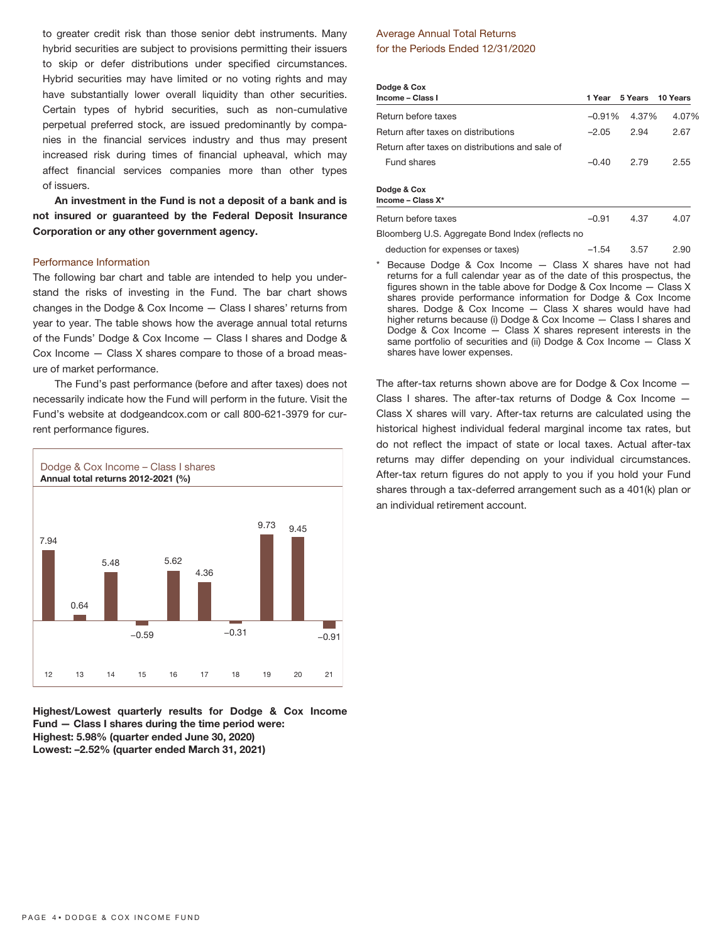to greater credit risk than those senior debt instruments. Many hybrid securities are subject to provisions permitting their issuers to skip or defer distributions under specified circumstances. Hybrid securities may have limited or no voting rights and may have substantially lower overall liquidity than other securities. Certain types of hybrid securities, such as non-cumulative perpetual preferred stock, are issued predominantly by companies in the financial services industry and thus may present increased risk during times of financial upheaval, which may affect financial services companies more than other types of issuers.

**An investment in the Fund is not a deposit of a bank and is not insured or guaranteed by the Federal Deposit Insurance Corporation or any other government agency.**

#### Performance Information

The following bar chart and table are intended to help you understand the risks of investing in the Fund. The bar chart shows changes in the Dodge & Cox Income — Class I shares' returns from year to year. The table shows how the average annual total returns of the Funds' Dodge & Cox Income — Class I shares and Dodge & Cox Income — Class X shares compare to those of a broad measure of market performance.

The Fund's past performance (before and after taxes) does not necessarily indicate how the Fund will perform in the future. Visit the Fund's website at dodgeandcox.com or call 800-621-3979 for current performance figures.



**Highest/Lowest quarterly results for Dodge & Cox Income Fund — Class I shares during the time period were: Highest: 5.98% (quarter ended June 30, 2020) Lowest: –2.52% (quarter ended March 31, 2021)**

#### Average Annual Total Returns for the Periods Ended 12/31/2020

| Dodge & Cox                                      |          |                         |       |
|--------------------------------------------------|----------|-------------------------|-------|
| Income – Class I                                 |          | 1 Year 5 Years 10 Years |       |
| Return before taxes                              | $-0.91%$ | 4.37%                   | 4.07% |
| Return after taxes on distributions              | $-2.05$  | 2.94                    | 2.67  |
| Return after taxes on distributions and sale of  |          |                         |       |
| Fund shares                                      | $-0.40$  | 2.79                    | 2.55  |
| Dodge & Cox<br>Income - Class X*                 |          |                         |       |
| Return before taxes                              | $-0.91$  | 4.37                    | 4.07  |
| Bloomberg U.S. Aggregate Bond Index (reflects no |          |                         |       |

- deduction for expenses or taxes) –1.54 3.57 2.90
- Because Dodge & Cox Income  $-$  Class X shares have not had returns for a full calendar year as of the date of this prospectus, the figures shown in the table above for Dodge & Cox Income — Class X shares provide performance information for Dodge & Cox Income shares. Dodge & Cox Income — Class X shares would have had higher returns because (i) Dodge & Cox Income — Class I shares and Dodge & Cox Income — Class X shares represent interests in the same portfolio of securities and (ii) Dodge & Cox Income — Class X shares have lower expenses.

The after-tax returns shown above are for Dodge & Cox Income — Class I shares. The after-tax returns of Dodge & Cox Income — Class X shares will vary. After-tax returns are calculated using the historical highest individual federal marginal income tax rates, but do not reflect the impact of state or local taxes. Actual after-tax returns may differ depending on your individual circumstances. After-tax return figures do not apply to you if you hold your Fund shares through a tax-deferred arrangement such as a 401(k) plan or an individual retirement account.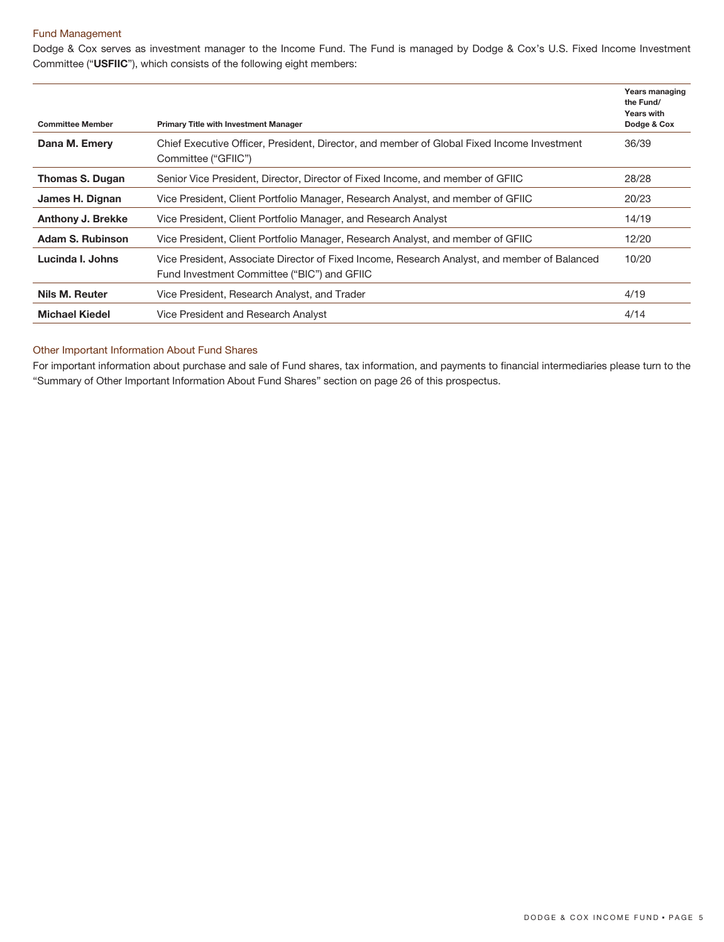#### Fund Management

Dodge & Cox serves as investment manager to the Income Fund. The Fund is managed by Dodge & Cox's U.S. Fixed Income Investment Committee ("**USFIIC**"), which consists of the following eight members:

| <b>Committee Member</b>  | <b>Primary Title with Investment Manager</b>                                                                                                | Years managing<br>the Fund/<br><b>Years with</b><br>Dodge & Cox |
|--------------------------|---------------------------------------------------------------------------------------------------------------------------------------------|-----------------------------------------------------------------|
| Dana M. Emery            | Chief Executive Officer, President, Director, and member of Global Fixed Income Investment<br>Committee ("GFIIC")                           | 36/39                                                           |
| Thomas S. Dugan          | Senior Vice President, Director, Director of Fixed Income, and member of GFIIC                                                              | 28/28                                                           |
| James H. Dignan          | Vice President, Client Portfolio Manager, Research Analyst, and member of GFIIC                                                             | 20/23                                                           |
| <b>Anthony J. Brekke</b> | Vice President, Client Portfolio Manager, and Research Analyst                                                                              | 14/19                                                           |
| Adam S. Rubinson         | Vice President, Client Portfolio Manager, Research Analyst, and member of GFIIC                                                             | 12/20                                                           |
| Lucinda I. Johns         | Vice President, Associate Director of Fixed Income, Research Analyst, and member of Balanced<br>Fund Investment Committee ("BIC") and GFIIC | 10/20                                                           |
| Nils M. Reuter           | Vice President, Research Analyst, and Trader                                                                                                | 4/19                                                            |
| <b>Michael Kiedel</b>    | Vice President and Research Analyst                                                                                                         | 4/14                                                            |

#### Other Important Information About Fund Shares

For important information about purchase and sale of Fund shares, tax information, and payments to financial intermediaries please turn to the "Summary of Other Important Information About Fund Shares" section on page 26 of this prospectus.